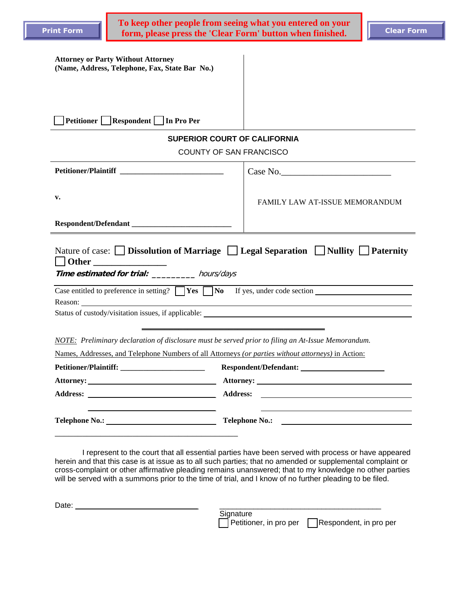| <b>Attorney or Party Without Attorney</b>      |  |
|------------------------------------------------|--|
| (Name, Address, Telephone, Fax, State Bar No.) |  |

| <b>Petitioner</b><br>In Pro Per<br><b>Respondent</b> |  |
|------------------------------------------------------|--|
|------------------------------------------------------|--|

## **SUPERIOR COURT OF CALIFORNIA**

COUNTY OF SAN FRANCISCO

|                                                                                                                                                                                                          | Case No.                              |  |  |  |
|----------------------------------------------------------------------------------------------------------------------------------------------------------------------------------------------------------|---------------------------------------|--|--|--|
| v.                                                                                                                                                                                                       | <b>FAMILY LAW AT-ISSUE MEMORANDUM</b> |  |  |  |
| Nature of case: $\Box$ Dissolution of Marriage $\Box$ Legal Separation $\Box$ Nullity $\Box$ Paternity<br>    Other _______________<br>Time estimated for trial: hours/days                              |                                       |  |  |  |
| Case entitled to preference in setting? $\Box$ Yes $\Box$ No If yes, under code section $\Box$                                                                                                           |                                       |  |  |  |
|                                                                                                                                                                                                          |                                       |  |  |  |
| Status of custody/visitation issues, if applicable:                                                                                                                                                      |                                       |  |  |  |
| NOTE: Preliminary declaration of disclosure must be served prior to filing an At-Issue Memorandum.<br>Names, Addresses, and Telephone Numbers of all Attorneys (or parties without attorneys) in Action: |                                       |  |  |  |
|                                                                                                                                                                                                          |                                       |  |  |  |
|                                                                                                                                                                                                          |                                       |  |  |  |
|                                                                                                                                                                                                          |                                       |  |  |  |
|                                                                                                                                                                                                          |                                       |  |  |  |

I represent to the court that all essential parties have been served with process or have appeared herein and that this case is at issue as to all such parties; that no amended or supplemental complaint or cross-complaint or other affirmative pleading remains unanswered; that to my knowledge no other parties will be served with a summons prior to the time of trial, and I know of no further pleading to be filed.

| Date: |                        |                        |
|-------|------------------------|------------------------|
|       | Signature              |                        |
|       | Petitioner, in pro per | Respondent, in pro per |